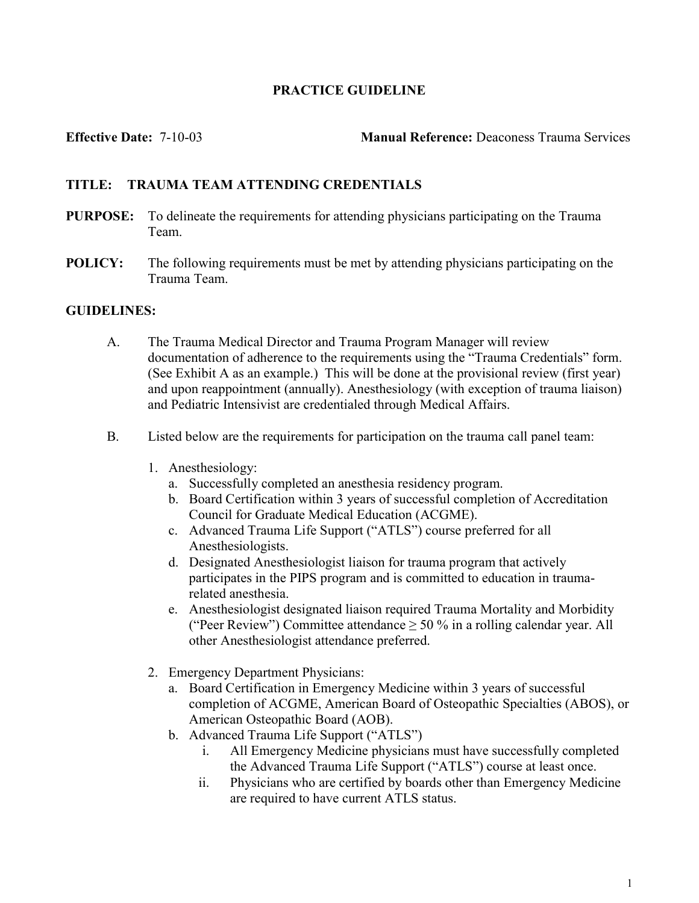### PRACTICE GUIDELINE

Effective Date: 7-10-03 Manual Reference: Deaconess Trauma Services

## TITLE: TRAUMA TEAM ATTENDING CREDENTIALS

- PURPOSE: To delineate the requirements for attending physicians participating on the Trauma Team.
- POLICY: The following requirements must be met by attending physicians participating on the Trauma Team.

#### GUIDELINES:

- A. The Trauma Medical Director and Trauma Program Manager will review documentation of adherence to the requirements using the "Trauma Credentials" form. (See Exhibit A as an example.) This will be done at the provisional review (first year) and upon reappointment (annually). Anesthesiology (with exception of trauma liaison) and Pediatric Intensivist are credentialed through Medical Affairs.
- B. Listed below are the requirements for participation on the trauma call panel team:
	- 1. Anesthesiology:
		- a. Successfully completed an anesthesia residency program.
		- b. Board Certification within 3 years of successful completion of Accreditation Council for Graduate Medical Education (ACGME).
		- c. Advanced Trauma Life Support ("ATLS") course preferred for all Anesthesiologists.
		- d. Designated Anesthesiologist liaison for trauma program that actively participates in the PIPS program and is committed to education in traumarelated anesthesia.
		- e. Anesthesiologist designated liaison required Trauma Mortality and Morbidity ("Peer Review") Committee attendance  $\geq 50$  % in a rolling calendar year. All other Anesthesiologist attendance preferred.
	- 2. Emergency Department Physicians:
		- a. Board Certification in Emergency Medicine within 3 years of successful completion of ACGME, American Board of Osteopathic Specialties (ABOS), or American Osteopathic Board (AOB).
		- b. Advanced Trauma Life Support ("ATLS")
			- i. All Emergency Medicine physicians must have successfully completed the Advanced Trauma Life Support ("ATLS") course at least once.
			- ii. Physicians who are certified by boards other than Emergency Medicine are required to have current ATLS status.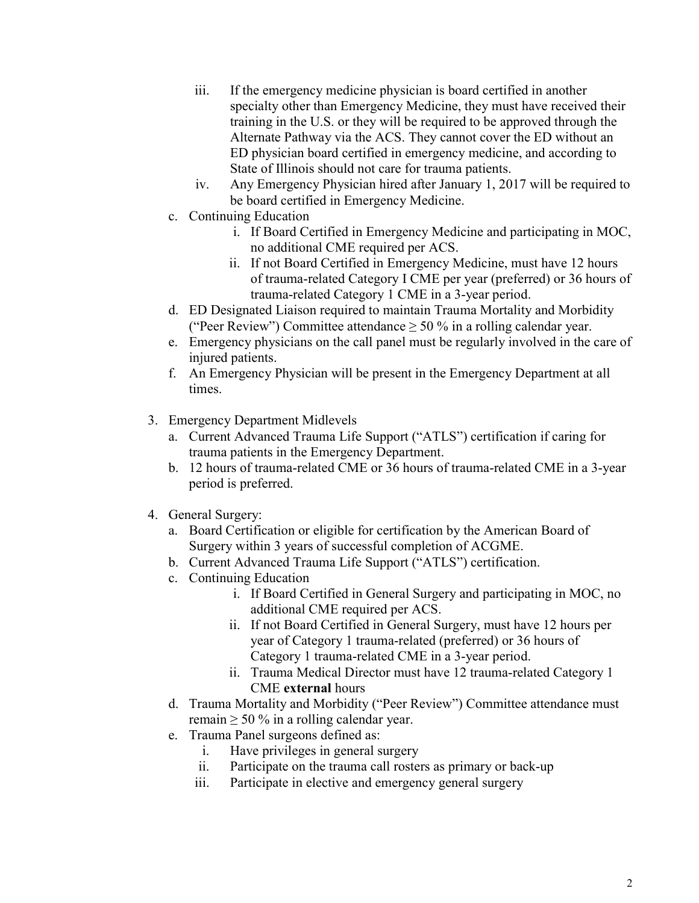- iii. If the emergency medicine physician is board certified in another specialty other than Emergency Medicine, they must have received their training in the U.S. or they will be required to be approved through the Alternate Pathway via the ACS. They cannot cover the ED without an ED physician board certified in emergency medicine, and according to State of Illinois should not care for trauma patients.
- iv. Any Emergency Physician hired after January 1, 2017 will be required to be board certified in Emergency Medicine.
- c. Continuing Education
	- i. If Board Certified in Emergency Medicine and participating in MOC, no additional CME required per ACS.
	- ii. If not Board Certified in Emergency Medicine, must have 12 hours of trauma-related Category I CME per year (preferred) or 36 hours of trauma-related Category 1 CME in a 3-year period.
- d. ED Designated Liaison required to maintain Trauma Mortality and Morbidity ("Peer Review") Committee attendance  $\geq 50$  % in a rolling calendar year.
- e. Emergency physicians on the call panel must be regularly involved in the care of injured patients.
- f. An Emergency Physician will be present in the Emergency Department at all times.
- 3. Emergency Department Midlevels
	- a. Current Advanced Trauma Life Support ("ATLS") certification if caring for trauma patients in the Emergency Department.
	- b. 12 hours of trauma-related CME or 36 hours of trauma-related CME in a 3-year period is preferred.
- 4. General Surgery:
	- a. Board Certification or eligible for certification by the American Board of Surgery within 3 years of successful completion of ACGME.
	- b. Current Advanced Trauma Life Support ("ATLS") certification.
	- c. Continuing Education
		- i. If Board Certified in General Surgery and participating in MOC, no additional CME required per ACS.
		- ii. If not Board Certified in General Surgery, must have 12 hours per year of Category 1 trauma-related (preferred) or 36 hours of Category 1 trauma-related CME in a 3-year period.
		- ii. Trauma Medical Director must have 12 trauma-related Category 1 CME external hours
	- d. Trauma Mortality and Morbidity ("Peer Review") Committee attendance must remain  $\geq 50\%$  in a rolling calendar year.
	- e. Trauma Panel surgeons defined as:
		- i. Have privileges in general surgery
		- ii. Participate on the trauma call rosters as primary or back-up
		- iii. Participate in elective and emergency general surgery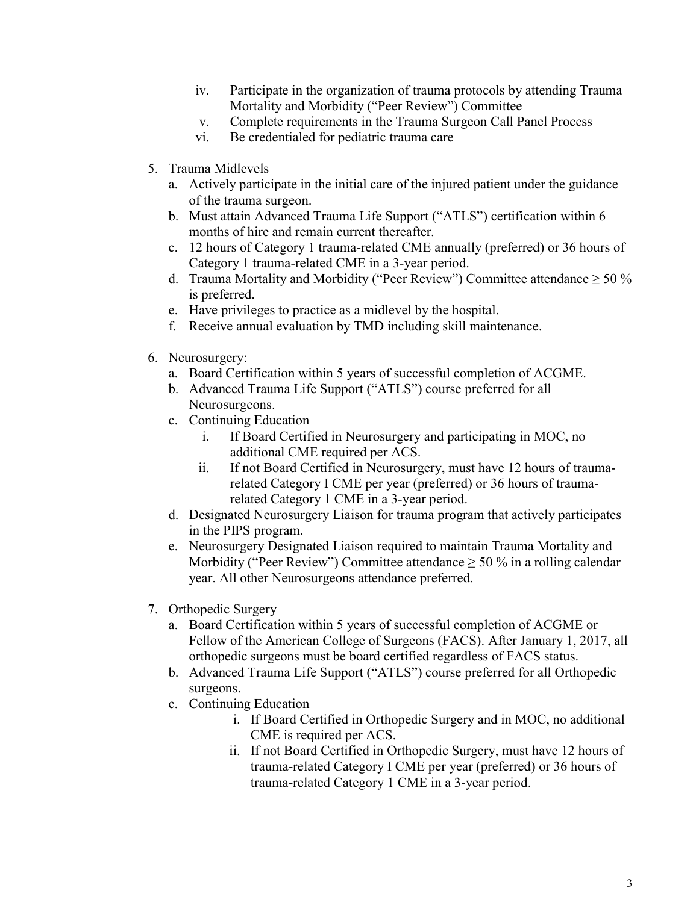- iv. Participate in the organization of trauma protocols by attending Trauma Mortality and Morbidity ("Peer Review") Committee
- v. Complete requirements in the Trauma Surgeon Call Panel Process
- vi. Be credentialed for pediatric trauma care
- 5. Trauma Midlevels
	- a. Actively participate in the initial care of the injured patient under the guidance of the trauma surgeon.
	- b. Must attain Advanced Trauma Life Support ("ATLS") certification within 6 months of hire and remain current thereafter.
	- c. 12 hours of Category 1 trauma-related CME annually (preferred) or 36 hours of Category 1 trauma-related CME in a 3-year period.
	- d. Trauma Mortality and Morbidity ("Peer Review") Committee attendance  $\geq 50\%$ is preferred.
	- e. Have privileges to practice as a midlevel by the hospital.
	- f. Receive annual evaluation by TMD including skill maintenance.
- 6. Neurosurgery:
	- a. Board Certification within 5 years of successful completion of ACGME.
	- b. Advanced Trauma Life Support ("ATLS") course preferred for all Neurosurgeons.
	- c. Continuing Education
		- i. If Board Certified in Neurosurgery and participating in MOC, no additional CME required per ACS.
		- ii. If not Board Certified in Neurosurgery, must have 12 hours of traumarelated Category I CME per year (preferred) or 36 hours of traumarelated Category 1 CME in a 3-year period.
	- d. Designated Neurosurgery Liaison for trauma program that actively participates in the PIPS program.
	- e. Neurosurgery Designated Liaison required to maintain Trauma Mortality and Morbidity ("Peer Review") Committee attendance  $\geq$  50 % in a rolling calendar year. All other Neurosurgeons attendance preferred.
- 7. Orthopedic Surgery
	- a. Board Certification within 5 years of successful completion of ACGME or Fellow of the American College of Surgeons (FACS). After January 1, 2017, all orthopedic surgeons must be board certified regardless of FACS status.
	- b. Advanced Trauma Life Support ("ATLS") course preferred for all Orthopedic surgeons.
	- c. Continuing Education
		- i. If Board Certified in Orthopedic Surgery and in MOC, no additional CME is required per ACS.
		- ii. If not Board Certified in Orthopedic Surgery, must have 12 hours of trauma-related Category I CME per year (preferred) or 36 hours of trauma-related Category 1 CME in a 3-year period.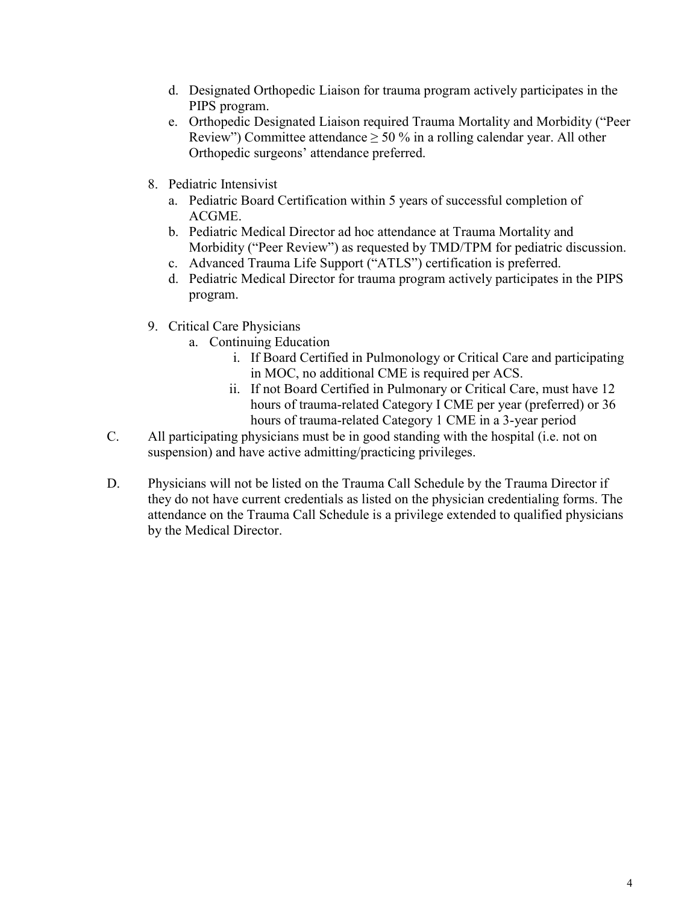- d. Designated Orthopedic Liaison for trauma program actively participates in the PIPS program.
- e. Orthopedic Designated Liaison required Trauma Mortality and Morbidity ("Peer Review") Committee attendance  $\geq 50$  % in a rolling calendar year. All other Orthopedic surgeons' attendance preferred.
- 8. Pediatric Intensivist
	- a. Pediatric Board Certification within 5 years of successful completion of ACGME.
	- b. Pediatric Medical Director ad hoc attendance at Trauma Mortality and Morbidity ("Peer Review") as requested by TMD/TPM for pediatric discussion.
	- c. Advanced Trauma Life Support ("ATLS") certification is preferred.
	- d. Pediatric Medical Director for trauma program actively participates in the PIPS program.
- 9. Critical Care Physicians
	- a. Continuing Education
		- i. If Board Certified in Pulmonology or Critical Care and participating in MOC, no additional CME is required per ACS.
		- ii. If not Board Certified in Pulmonary or Critical Care, must have 12 hours of trauma-related Category I CME per year (preferred) or 36 hours of trauma-related Category 1 CME in a 3-year period
- C. All participating physicians must be in good standing with the hospital (i.e. not on suspension) and have active admitting/practicing privileges.
- D. Physicians will not be listed on the Trauma Call Schedule by the Trauma Director if they do not have current credentials as listed on the physician credentialing forms. The attendance on the Trauma Call Schedule is a privilege extended to qualified physicians by the Medical Director.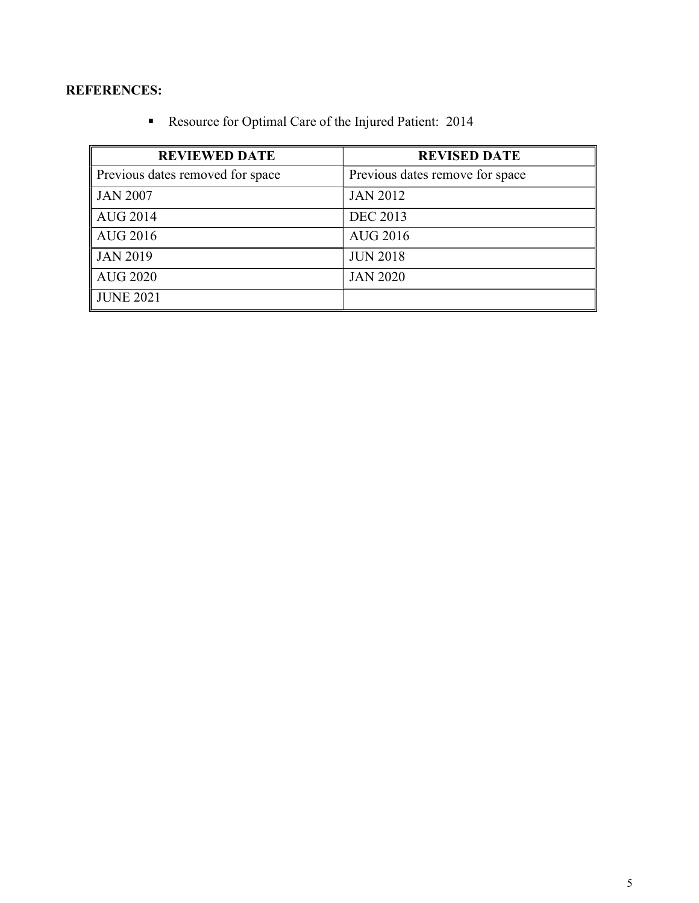## REFERENCES:

Resource for Optimal Care of the Injured Patient: 2014

| <b>REVIEWED DATE</b>             | <b>REVISED DATE</b>             |  |
|----------------------------------|---------------------------------|--|
| Previous dates removed for space | Previous dates remove for space |  |
| JAN 2007                         | <b>JAN 2012</b>                 |  |
| $\vert$ AUG 2014                 | <b>DEC 2013</b>                 |  |
| $\vert$ AUG 2016                 | <b>AUG 2016</b>                 |  |
| JAN 2019                         | <b>JUN 2018</b>                 |  |
| $\parallel$ AUG 2020             | <b>JAN 2020</b>                 |  |
| <b>JUNE 2021</b>                 |                                 |  |